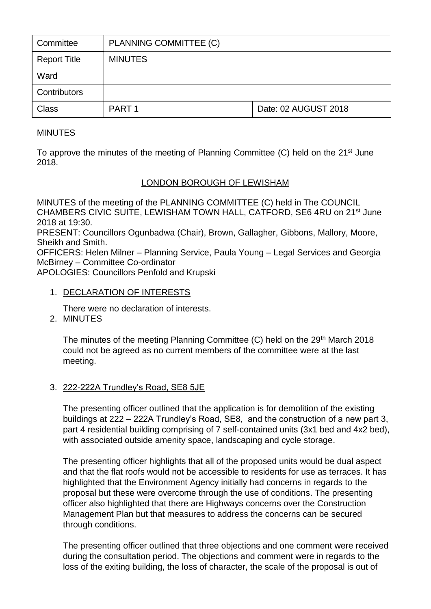| Committee           | PLANNING COMMITTEE (C) |                      |
|---------------------|------------------------|----------------------|
| <b>Report Title</b> | <b>MINUTES</b>         |                      |
| Ward                |                        |                      |
| Contributors        |                        |                      |
| <b>Class</b>        | PART <sub>1</sub>      | Date: 02 AUGUST 2018 |

## MINUTES

To approve the minutes of the meeting of Planning Committee (C) held on the  $21<sup>st</sup>$  June 2018.

## LONDON BOROUGH OF LEWISHAM

MINUTES of the meeting of the PLANNING COMMITTEE (C) held in The COUNCIL CHAMBERS CIVIC SUITE, LEWISHAM TOWN HALL, CATFORD, SE6 4RU on 21st June 2018 at 19:30.

PRESENT: Councillors Ogunbadwa (Chair), Brown, Gallagher, Gibbons, Mallory, Moore, Sheikh and Smith.

OFFICERS: Helen Milner – Planning Service, Paula Young – Legal Services and Georgia McBirney – Committee Co-ordinator

APOLOGIES: Councillors Penfold and Krupski

#### 1. DECLARATION OF INTERESTS

There were no declaration of interests.

2. MINUTES

The minutes of the meeting Planning Committee (C) held on the 29<sup>th</sup> March 2018 could not be agreed as no current members of the committee were at the last meeting.

### 3. 222-222A Trundley's Road, SE8 5JE

The presenting officer outlined that the application is for demolition of the existing buildings at 222 – 222A Trundley's Road, SE8, and the construction of a new part 3, part 4 residential building comprising of 7 self-contained units (3x1 bed and 4x2 bed), with associated outside amenity space, landscaping and cycle storage.

The presenting officer highlights that all of the proposed units would be dual aspect and that the flat roofs would not be accessible to residents for use as terraces. It has highlighted that the Environment Agency initially had concerns in regards to the proposal but these were overcome through the use of conditions. The presenting officer also highlighted that there are Highways concerns over the Construction Management Plan but that measures to address the concerns can be secured through conditions.

The presenting officer outlined that three objections and one comment were received during the consultation period. The objections and comment were in regards to the loss of the exiting building, the loss of character, the scale of the proposal is out of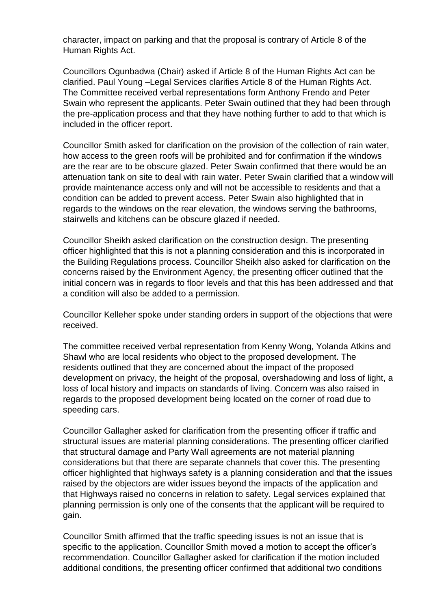character, impact on parking and that the proposal is contrary of Article 8 of the Human Rights Act.

Councillors Ogunbadwa (Chair) asked if Article 8 of the Human Rights Act can be clarified. Paul Young –Legal Services clarifies Article 8 of the Human Rights Act. The Committee received verbal representations form Anthony Frendo and Peter Swain who represent the applicants. Peter Swain outlined that they had been through the pre-application process and that they have nothing further to add to that which is included in the officer report.

Councillor Smith asked for clarification on the provision of the collection of rain water, how access to the green roofs will be prohibited and for confirmation if the windows are the rear are to be obscure glazed. Peter Swain confirmed that there would be an attenuation tank on site to deal with rain water. Peter Swain clarified that a window will provide maintenance access only and will not be accessible to residents and that a condition can be added to prevent access. Peter Swain also highlighted that in regards to the windows on the rear elevation, the windows serving the bathrooms, stairwells and kitchens can be obscure glazed if needed.

Councillor Sheikh asked clarification on the construction design. The presenting officer highlighted that this is not a planning consideration and this is incorporated in the Building Regulations process. Councillor Sheikh also asked for clarification on the concerns raised by the Environment Agency, the presenting officer outlined that the initial concern was in regards to floor levels and that this has been addressed and that a condition will also be added to a permission.

Councillor Kelleher spoke under standing orders in support of the objections that were received.

The committee received verbal representation from Kenny Wong, Yolanda Atkins and Shawl who are local residents who object to the proposed development. The residents outlined that they are concerned about the impact of the proposed development on privacy, the height of the proposal, overshadowing and loss of light, a loss of local history and impacts on standards of living. Concern was also raised in regards to the proposed development being located on the corner of road due to speeding cars.

Councillor Gallagher asked for clarification from the presenting officer if traffic and structural issues are material planning considerations. The presenting officer clarified that structural damage and Party Wall agreements are not material planning considerations but that there are separate channels that cover this. The presenting officer highlighted that highways safety is a planning consideration and that the issues raised by the objectors are wider issues beyond the impacts of the application and that Highways raised no concerns in relation to safety. Legal services explained that planning permission is only one of the consents that the applicant will be required to gain.

Councillor Smith affirmed that the traffic speeding issues is not an issue that is specific to the application. Councillor Smith moved a motion to accept the officer's recommendation. Councillor Gallagher asked for clarification if the motion included additional conditions, the presenting officer confirmed that additional two conditions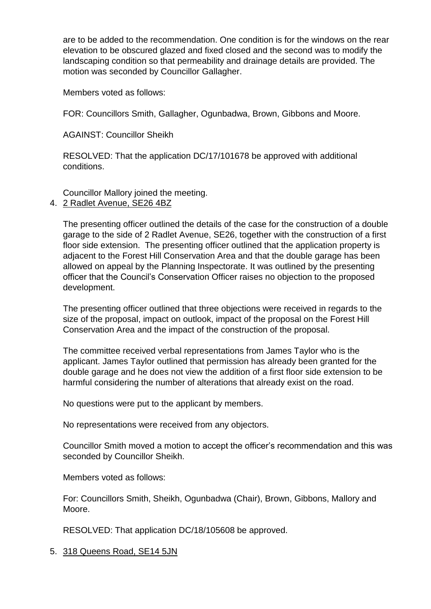are to be added to the recommendation. One condition is for the windows on the rear elevation to be obscured glazed and fixed closed and the second was to modify the landscaping condition so that permeability and drainage details are provided. The motion was seconded by Councillor Gallagher.

Members voted as follows:

FOR: Councillors Smith, Gallagher, Ogunbadwa, Brown, Gibbons and Moore.

AGAINST: Councillor Sheikh

RESOLVED: That the application DC/17/101678 be approved with additional conditions.

Councillor Mallory joined the meeting.

# 4. 2 Radlet Avenue, SE26 4BZ

The presenting officer outlined the details of the case for the construction of a double garage to the side of 2 Radlet Avenue, SE26, together with the construction of a first floor side extension. The presenting officer outlined that the application property is adjacent to the Forest Hill Conservation Area and that the double garage has been allowed on appeal by the Planning Inspectorate. It was outlined by the presenting officer that the Council's Conservation Officer raises no objection to the proposed development.

The presenting officer outlined that three objections were received in regards to the size of the proposal, impact on outlook, impact of the proposal on the Forest Hill Conservation Area and the impact of the construction of the proposal.

The committee received verbal representations from James Taylor who is the applicant. James Taylor outlined that permission has already been granted for the double garage and he does not view the addition of a first floor side extension to be harmful considering the number of alterations that already exist on the road.

No questions were put to the applicant by members.

No representations were received from any objectors.

Councillor Smith moved a motion to accept the officer's recommendation and this was seconded by Councillor Sheikh.

Members voted as follows:

For: Councillors Smith, Sheikh, Ogunbadwa (Chair), Brown, Gibbons, Mallory and Moore.

RESOLVED: That application DC/18/105608 be approved.

5. 318 Queens Road, SE14 5JN